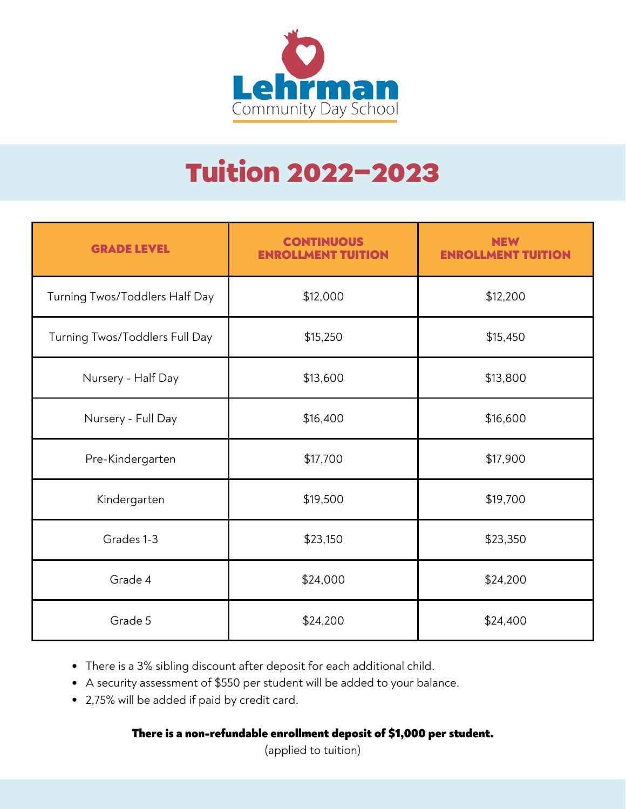

# Tuition 2022-2023

| <b>GRADE LEVEL</b>             | <b>CONTINUOUS</b><br><b>ENROLLMENT TUITION</b> | <b>NEW</b><br><b>ENROLLMENT TUI</b> |
|--------------------------------|------------------------------------------------|-------------------------------------|
| Turning Twos/Toddlers Half Day | \$12,000                                       | \$12,200                            |
| Turning Twos/Toddlers Full Day | \$15,250                                       | \$15,450                            |
| Nursery - Half Day             | \$13,600                                       | \$13,800                            |
| Nursery - Full Day             | \$16,400                                       | \$16,600                            |
| Pre-Kindergarten               | \$17,700                                       | \$17,900                            |
| Kindergarten                   | \$19,500                                       | \$19,700                            |
| Grades 1-3                     | \$23,150                                       | \$23,350                            |
| Grade 4                        | \$24,000                                       | \$24,200                            |
| Grade 5                        | \$24,200                                       | \$24,400                            |

- There is a 3% sibling discount after deposit for each additional child.
- A security assessment of \$550 per student will be added to your balance.
- 2,75% will be added if paid by credit card.

#### There is a non-refundable enrollment deposit of \$1,000 per student.

(applied to tuition)